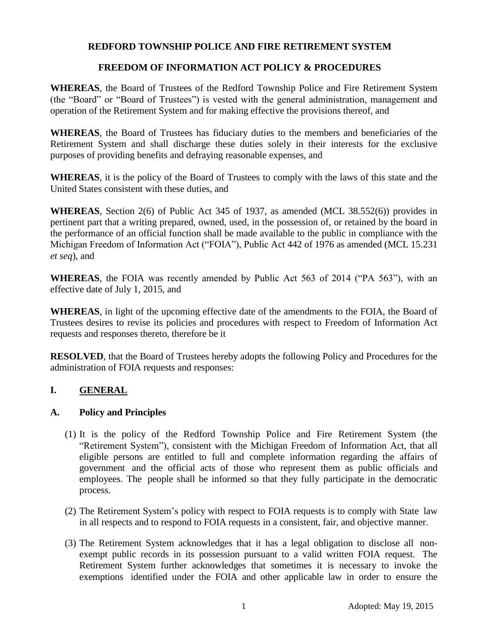#### **REDFORD TOWNSHIP POLICE AND FIRE RETIREMENT SYSTEM**

#### **FREEDOM OF INFORMATION ACT POLICY & PROCEDURES**

**WHEREAS**, the Board of Trustees of the Redford Township Police and Fire Retirement System (the "Board" or "Board of Trustees") is vested with the general administration, management and operation of the Retirement System and for making effective the provisions thereof, and

**WHEREAS**, the Board of Trustees has fiduciary duties to the members and beneficiaries of the Retirement System and shall discharge these duties solely in their interests for the exclusive purposes of providing benefits and defraying reasonable expenses, and

**WHEREAS**, it is the policy of the Board of Trustees to comply with the laws of this state and the United States consistent with these duties, and

**WHEREAS**, Section 2(6) of Public Act 345 of 1937, as amended (MCL 38.552(6)) provides in pertinent part that a writing prepared, owned, used, in the possession of, or retained by the board in the performance of an official function shall be made available to the public in compliance with the Michigan Freedom of Information Act ("FOIA"), Public Act 442 of 1976 as amended (MCL 15.231 *et seq*), and

**WHEREAS**, the FOIA was recently amended by Public Act 563 of 2014 ("PA 563"), with an effective date of July 1, 2015, and

**WHEREAS**, in light of the upcoming effective date of the amendments to the FOIA, the Board of Trustees desires to revise its policies and procedures with respect to Freedom of Information Act requests and responses thereto, therefore be it

**RESOLVED**, that the Board of Trustees hereby adopts the following Policy and Procedures for the administration of FOIA requests and responses:

## **I. GENERAL**

#### **A. Policy and Principles**

- (1) It is the policy of the Redford Township Police and Fire Retirement System (the "Retirement System"), consistent with the Michigan Freedom of Information Act, that all eligible persons are entitled to full and complete information regarding the affairs of government and the official acts of those who represent them as public officials and employees. The people shall be informed so that they fully participate in the democratic process.
- (2) The Retirement System's policy with respect to FOIA requests is to comply with State law in all respects and to respond to FOIA requests in a consistent, fair, and objective manner.
- (3) The Retirement System acknowledges that it has a legal obligation to disclose all nonexempt public records in its possession pursuant to a valid written FOIA request. The Retirement System further acknowledges that sometimes it is necessary to invoke the exemptions identified under the FOIA and other applicable law in order to ensure the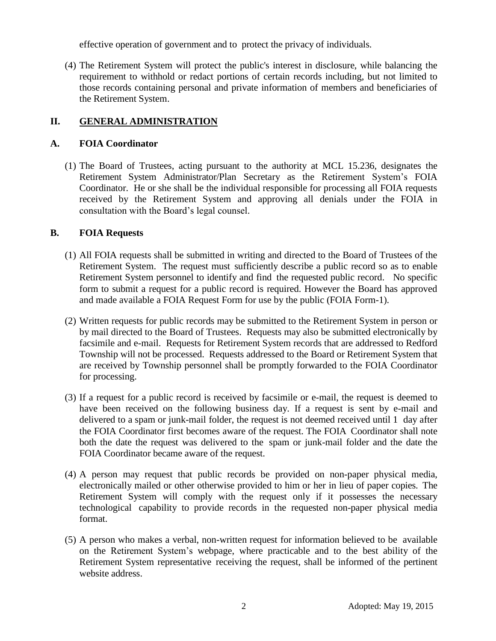effective operation of government and to protect the privacy of individuals.

(4) The Retirement System will protect the public's interest in disclosure, while balancing the requirement to withhold or redact portions of certain records including, but not limited to those records containing personal and private information of members and beneficiaries of the Retirement System.

# **II. GENERAL ADMINISTRATION**

### **A. FOIA Coordinator**

(1) The Board of Trustees, acting pursuant to the authority at MCL 15.236, designates the Retirement System Administrator/Plan Secretary as the Retirement System's FOIA Coordinator. He or she shall be the individual responsible for processing all FOIA requests received by the Retirement System and approving all denials under the FOIA in consultation with the Board's legal counsel.

#### **B. FOIA Requests**

- (1) All FOIA requests shall be submitted in writing and directed to the Board of Trustees of the Retirement System. The request must sufficiently describe a public record so as to enable Retirement System personnel to identify and find the requested public record. No specific form to submit a request for a public record is required. However the Board has approved and made available a FOIA Request Form for use by the public (FOIA Form-1).
- (2) Written requests for public records may be submitted to the Retirement System in person or by mail directed to the Board of Trustees. Requests may also be submitted electronically by facsimile and e-mail. Requests for Retirement System records that are addressed to Redford Township will not be processed. Requests addressed to the Board or Retirement System that are received by Township personnel shall be promptly forwarded to the FOIA Coordinator for processing.
- (3) If a request for a public record is received by facsimile or e-mail, the request is deemed to have been received on the following business day. If a request is sent by e-mail and delivered to a spam or junk-mail folder, the request is not deemed received until 1 day after the FOIA Coordinator first becomes aware of the request. The FOIA Coordinator shall note both the date the request was delivered to the spam or junk-mail folder and the date the FOIA Coordinator became aware of the request.
- (4) A person may request that public records be provided on non-paper physical media, electronically mailed or other otherwise provided to him or her in lieu of paper copies. The Retirement System will comply with the request only if it possesses the necessary technological capability to provide records in the requested non-paper physical media format.
- (5) A person who makes a verbal, non-written request for information believed to be available on the Retirement System's webpage, where practicable and to the best ability of the Retirement System representative receiving the request, shall be informed of the pertinent website address.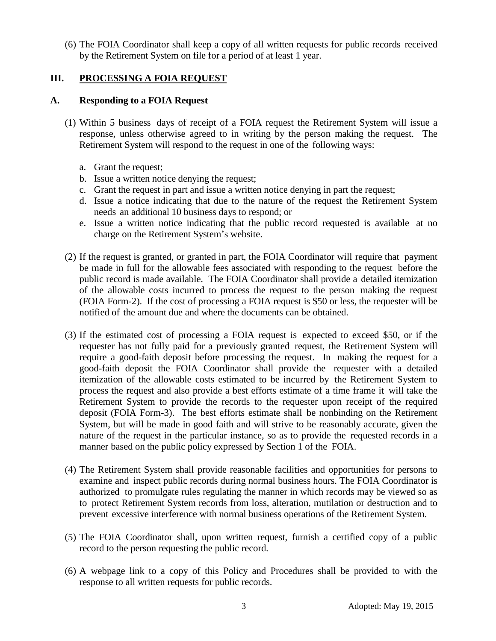(6) The FOIA Coordinator shall keep a copy of all written requests for public records received by the Retirement System on file for a period of at least 1 year.

# **III. PROCESSING A FOIA REQUEST**

### **A. Responding to a FOIA Request**

- (1) Within 5 business days of receipt of a FOIA request the Retirement System will issue a response, unless otherwise agreed to in writing by the person making the request. The Retirement System will respond to the request in one of the following ways:
	- a. Grant the request;
	- b. Issue a written notice denying the request;
	- c. Grant the request in part and issue a written notice denying in part the request;
	- d. Issue a notice indicating that due to the nature of the request the Retirement System needs an additional 10 business days to respond; or
	- e. Issue a written notice indicating that the public record requested is available at no charge on the Retirement System's website.
- (2) If the request is granted, or granted in part, the FOIA Coordinator will require that payment be made in full for the allowable fees associated with responding to the request before the public record is made available. The FOIA Coordinator shall provide a detailed itemization of the allowable costs incurred to process the request to the person making the request (FOIA Form-2). If the cost of processing a FOIA request is \$50 or less, the requester will be notified of the amount due and where the documents can be obtained.
- (3) If the estimated cost of processing a FOIA request is expected to exceed \$50, or if the requester has not fully paid for a previously granted request, the Retirement System will require a good-faith deposit before processing the request. In making the request for a good-faith deposit the FOIA Coordinator shall provide the requester with a detailed itemization of the allowable costs estimated to be incurred by the Retirement System to process the request and also provide a best efforts estimate of a time frame it will take the Retirement System to provide the records to the requester upon receipt of the required deposit (FOIA Form-3). The best efforts estimate shall be nonbinding on the Retirement System, but will be made in good faith and will strive to be reasonably accurate, given the nature of the request in the particular instance, so as to provide the requested records in a manner based on the public policy expressed by Section 1 of the FOIA.
- (4) The Retirement System shall provide reasonable facilities and opportunities for persons to examine and inspect public records during normal business hours. The FOIA Coordinator is authorized to promulgate rules regulating the manner in which records may be viewed so as to protect Retirement System records from loss, alteration, mutilation or destruction and to prevent excessive interference with normal business operations of the Retirement System.
- (5) The FOIA Coordinator shall, upon written request, furnish a certified copy of a public record to the person requesting the public record.
- (6) A webpage link to a copy of this Policy and Procedures shall be provided to with the response to all written requests for public records.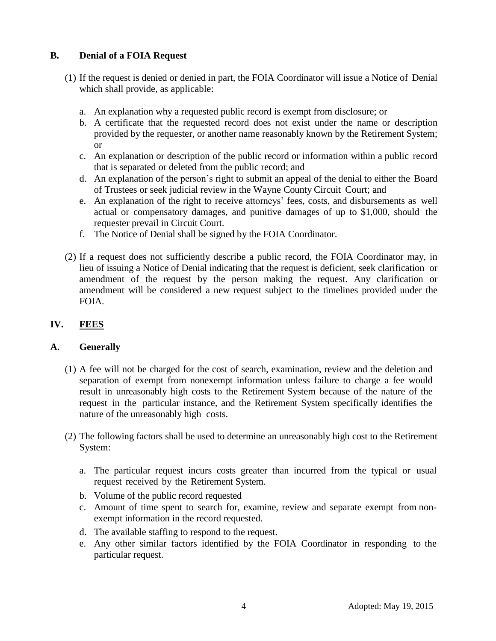# **B. Denial of a FOIA Request**

- (1) If the request is denied or denied in part, the FOIA Coordinator will issue a Notice of Denial which shall provide, as applicable:
	- a. An explanation why a requested public record is exempt from disclosure; or
	- b. A certificate that the requested record does not exist under the name or description provided by the requester, or another name reasonably known by the Retirement System; or
	- c. An explanation or description of the public record or information within a public record that is separated or deleted from the public record; and
	- d. An explanation of the person's right to submit an appeal of the denial to either the Board of Trustees or seek judicial review in the Wayne County Circuit Court; and
	- e. An explanation of the right to receive attorneys' fees, costs, and disbursements as well actual or compensatory damages, and punitive damages of up to \$1,000, should the requester prevail in Circuit Court.
	- f. The Notice of Denial shall be signed by the FOIA Coordinator.
- (2) If a request does not sufficiently describe a public record, the FOIA Coordinator may, in lieu of issuing a Notice of Denial indicating that the request is deficient, seek clarification or amendment of the request by the person making the request. Any clarification or amendment will be considered a new request subject to the timelines provided under the FOIA.

# **IV. FEES**

## **A. Generally**

- (1) A fee will not be charged for the cost of search, examination, review and the deletion and separation of exempt from nonexempt information unless failure to charge a fee would result in unreasonably high costs to the Retirement System because of the nature of the request in the particular instance, and the Retirement System specifically identifies the nature of the unreasonably high costs.
- (2) The following factors shall be used to determine an unreasonably high cost to the Retirement System:
	- a. The particular request incurs costs greater than incurred from the typical or usual request received by the Retirement System.
	- b. Volume of the public record requested
	- c. Amount of time spent to search for, examine, review and separate exempt from nonexempt information in the record requested.
	- d. The available staffing to respond to the request.
	- e. Any other similar factors identified by the FOIA Coordinator in responding to the particular request.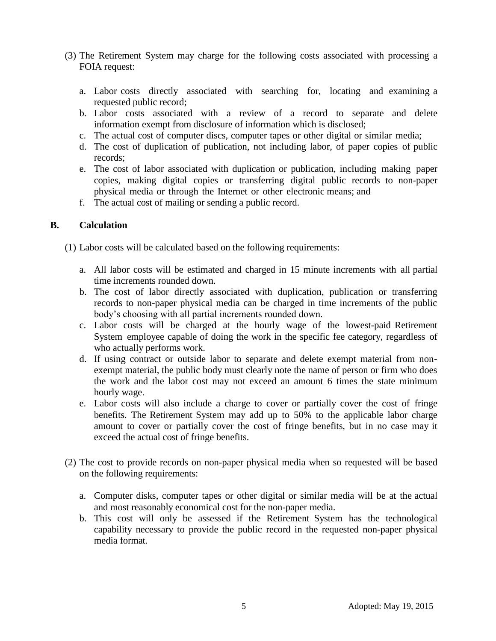- (3) The Retirement System may charge for the following costs associated with processing a FOIA request:
	- a. Labor costs directly associated with searching for, locating and examining a requested public record;
	- b. Labor costs associated with a review of a record to separate and delete information exempt from disclosure of information which is disclosed;
	- c. The actual cost of computer discs, computer tapes or other digital or similar media;
	- d. The cost of duplication of publication, not including labor, of paper copies of public records;
	- e. The cost of labor associated with duplication or publication, including making paper copies, making digital copies or transferring digital public records to non-paper physical media or through the Internet or other electronic means; and
	- f. The actual cost of mailing or sending a public record.

#### **B. Calculation**

(1) Labor costs will be calculated based on the following requirements:

- a. All labor costs will be estimated and charged in 15 minute increments with all partial time increments rounded down.
- b. The cost of labor directly associated with duplication, publication or transferring records to non-paper physical media can be charged in time increments of the public body's choosing with all partial increments rounded down.
- c. Labor costs will be charged at the hourly wage of the lowest-paid Retirement System employee capable of doing the work in the specific fee category, regardless of who actually performs work.
- d. If using contract or outside labor to separate and delete exempt material from nonexempt material, the public body must clearly note the name of person or firm who does the work and the labor cost may not exceed an amount 6 times the state minimum hourly wage.
- e. Labor costs will also include a charge to cover or partially cover the cost of fringe benefits. The Retirement System may add up to 50% to the applicable labor charge amount to cover or partially cover the cost of fringe benefits, but in no case may it exceed the actual cost of fringe benefits.
- (2) The cost to provide records on non-paper physical media when so requested will be based on the following requirements:
	- a. Computer disks, computer tapes or other digital or similar media will be at the actual and most reasonably economical cost for the non-paper media.
	- b. This cost will only be assessed if the Retirement System has the technological capability necessary to provide the public record in the requested non-paper physical media format.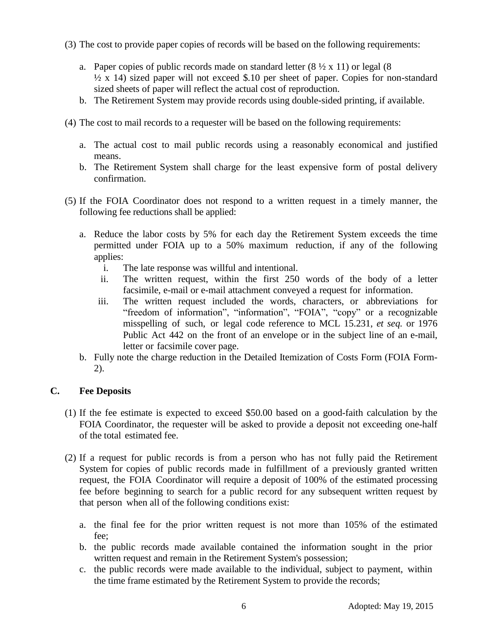- (3) The cost to provide paper copies of records will be based on the following requirements:
	- a. Paper copies of public records made on standard letter  $(8 \frac{1}{2} \times 11)$  or legal  $(8 \times 11)$  $\frac{1}{2}$  x 14) sized paper will not exceed \$.10 per sheet of paper. Copies for non-standard sized sheets of paper will reflect the actual cost of reproduction.
	- b. The Retirement System may provide records using double-sided printing, if available.
- (4) The cost to mail records to a requester will be based on the following requirements:
	- a. The actual cost to mail public records using a reasonably economical and justified means.
	- b. The Retirement System shall charge for the least expensive form of postal delivery confirmation.
- (5) If the FOIA Coordinator does not respond to a written request in a timely manner, the following fee reductions shall be applied:
	- a. Reduce the labor costs by 5% for each day the Retirement System exceeds the time permitted under FOIA up to a 50% maximum reduction, if any of the following applies:
		- i. The late response was willful and intentional.
		- ii. The written request, within the first 250 words of the body of a letter facsimile, e-mail or e-mail attachment conveyed a request for information.
		- iii. The written request included the words, characters, or abbreviations for "freedom of information", "information", "FOIA", "copy" or a recognizable misspelling of such, or legal code reference to MCL 15.231, *et seq.* or 1976 Public Act 442 on the front of an envelope or in the subject line of an e-mail, letter or facsimile cover page.
	- b. Fully note the charge reduction in the Detailed Itemization of Costs Form (FOIA Form-2).

#### **C. Fee Deposits**

- (1) If the fee estimate is expected to exceed \$50.00 based on a good-faith calculation by the FOIA Coordinator, the requester will be asked to provide a deposit not exceeding one-half of the total estimated fee.
- (2) If a request for public records is from a person who has not fully paid the Retirement System for copies of public records made in fulfillment of a previously granted written request, the FOIA Coordinator will require a deposit of 100% of the estimated processing fee before beginning to search for a public record for any subsequent written request by that person when all of the following conditions exist:
	- a. the final fee for the prior written request is not more than 105% of the estimated fee;
	- b. the public records made available contained the information sought in the prior written request and remain in the Retirement System's possession;
	- c. the public records were made available to the individual, subject to payment, within the time frame estimated by the Retirement System to provide the records;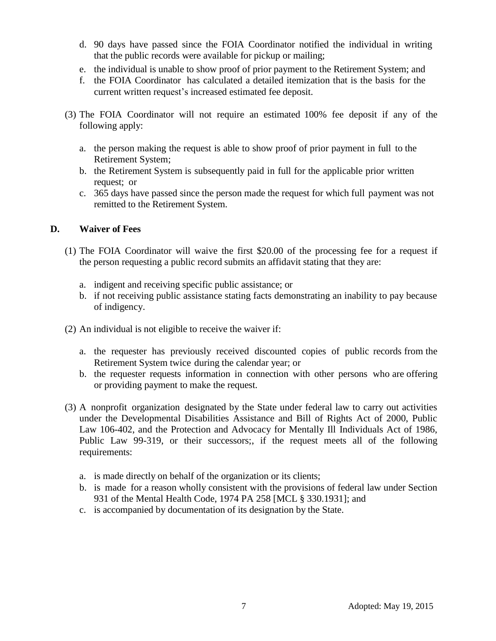- d. 90 days have passed since the FOIA Coordinator notified the individual in writing that the public records were available for pickup or mailing;
- e. the individual is unable to show proof of prior payment to the Retirement System; and
- f. the FOIA Coordinator has calculated a detailed itemization that is the basis for the current written request's increased estimated fee deposit.
- (3) The FOIA Coordinator will not require an estimated 100% fee deposit if any of the following apply:
	- a. the person making the request is able to show proof of prior payment in full to the Retirement System;
	- b. the Retirement System is subsequently paid in full for the applicable prior written request; or
	- c. 365 days have passed since the person made the request for which full payment was not remitted to the Retirement System.

## **D. Waiver of Fees**

- (1) The FOIA Coordinator will waive the first \$20.00 of the processing fee for a request if the person requesting a public record submits an affidavit stating that they are:
	- a. indigent and receiving specific public assistance; or
	- b. if not receiving public assistance stating facts demonstrating an inability to pay because of indigency.
- (2) An individual is not eligible to receive the waiver if:
	- a. the requester has previously received discounted copies of public records from the Retirement System twice during the calendar year; or
	- b. the requester requests information in connection with other persons who are offering or providing payment to make the request.
- (3) A nonprofit organization designated by the State under federal law to carry out activities under the Developmental Disabilities Assistance and Bill of Rights Act of 2000, Public Law 106-402, and the Protection and Advocacy for Mentally Ill Individuals Act of 1986, Public Law 99-319, or their successors;, if the request meets all of the following requirements:
	- a. is made directly on behalf of the organization or its clients;
	- b. is made for a reason wholly consistent with the provisions of federal law under Section 931 of the Mental Health Code, 1974 PA 258 [MCL § 330.1931]; and
	- c. is accompanied by documentation of its designation by the State.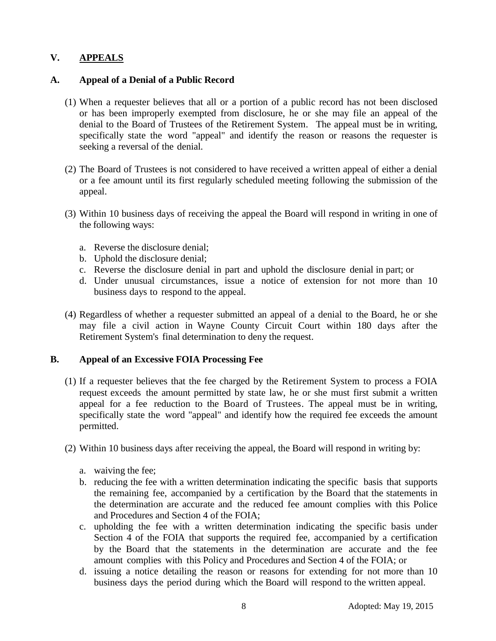# **V. APPEALS**

### **A. Appeal of a Denial of a Public Record**

- (1) When a requester believes that all or a portion of a public record has not been disclosed or has been improperly exempted from disclosure, he or she may file an appeal of the denial to the Board of Trustees of the Retirement System. The appeal must be in writing, specifically state the word "appeal" and identify the reason or reasons the requester is seeking a reversal of the denial.
- (2) The Board of Trustees is not considered to have received a written appeal of either a denial or a fee amount until its first regularly scheduled meeting following the submission of the appeal.
- (3) Within 10 business days of receiving the appeal the Board will respond in writing in one of the following ways:
	- a. Reverse the disclosure denial;
	- b. Uphold the disclosure denial;
	- c. Reverse the disclosure denial in part and uphold the disclosure denial in part; or
	- d. Under unusual circumstances, issue a notice of extension for not more than 10 business days to respond to the appeal.
- (4) Regardless of whether a requester submitted an appeal of a denial to the Board, he or she may file a civil action in Wayne County Circuit Court within 180 days after the Retirement System's final determination to deny the request.

#### **B. Appeal of an Excessive FOIA Processing Fee**

- (1) If a requester believes that the fee charged by the Retirement System to process a FOIA request exceeds the amount permitted by state law, he or she must first submit a written appeal for a fee reduction to the Board of Trustees. The appeal must be in writing, specifically state the word "appeal" and identify how the required fee exceeds the amount permitted.
- (2) Within 10 business days after receiving the appeal, the Board will respond in writing by:
	- a. waiving the fee;
	- b. reducing the fee with a written determination indicating the specific basis that supports the remaining fee, accompanied by a certification by the Board that the statements in the determination are accurate and the reduced fee amount complies with this Police and Procedures and Section 4 of the FOIA;
	- c. upholding the fee with a written determination indicating the specific basis under Section 4 of the FOIA that supports the required fee, accompanied by a certification by the Board that the statements in the determination are accurate and the fee amount complies with this Policy and Procedures and Section 4 of the FOIA; or
	- d. issuing a notice detailing the reason or reasons for extending for not more than 10 business days the period during which the Board will respond to the written appeal.